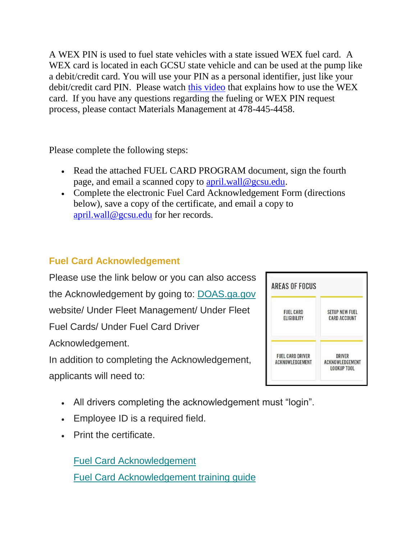A WEX PIN is used to fuel state vehicles with a state issued WEX fuel card. A WEX card is located in each GCSU state vehicle and can be used at the pump like a debit/credit card. You will use your PIN as a personal identifier, just like your debit/credit card PIN. Please watch [this video](https://nam11.safelinks.protection.outlook.com/?url=http%3A%2F%2Fdoas.ga.gov%2Ffleet-management%2FFleet-Fuel-Cards%2Ffuel-card-training&data=04%7C01%7Cmatthew.terry%40gcsu.edu%7Cce4d0668b6f24c889f8b08d93cb8e679%7Cbfd29cfa8e7142e69abc953a6d6f07d6%7C0%7C0%7C637607587097363759%7CUnknown%7CTWFpbGZsb3d8eyJWIjoiMC4wLjAwMDAiLCJQIjoiV2luMzIiLCJBTiI6Ik1haWwiLCJXVCI6Mn0%3D%7C1000&sdata=2AeTTeFdA%2BvNOigCSZNKSKT7Q7gbaDOKzmhHfVmsCXs%3D&reserved=0) that explains how to use the WEX card. If you have any questions regarding the fueling or WEX PIN request process, please contact Materials Management at 478-445-4458.

Please complete the following steps:

- Read the attached FUEL CARD PROGRAM document, sign the fourth page, and email a scanned copy to [april.wall@gcsu.edu.](mailto:april.wall@gcsu.edu)
- Complete the electronic Fuel Card Acknowledgement Form (directions below), save a copy of the certificate, and email a copy to [april.wall@gcsu.edu](mailto:april.wall@gcsu.edu) for her records.

## **Fuel Card Acknowledgement**

Please use the link below or you can also access the Acknowledgement by going to: [DOAS.ga.gov](https://nam11.safelinks.protection.outlook.com/?url=https%3A%2F%2Fteamgeorgia.us5.list-manage.com%2Ftrack%2Fclick%3Fu%3D5b9f6808fa4e1caeb54cbac36%26id%3D483f65fb5a%26e%3D6a1c4d2cde&data=04%7C01%7Cmatthew.terry%40gcsu.edu%7Cce4d0668b6f24c889f8b08d93cb8e679%7Cbfd29cfa8e7142e69abc953a6d6f07d6%7C0%7C0%7C637607587097373715%7CUnknown%7CTWFpbGZsb3d8eyJWIjoiMC4wLjAwMDAiLCJQIjoiV2luMzIiLCJBTiI6Ik1haWwiLCJXVCI6Mn0%3D%7C1000&sdata=y33yKdsbMzY4qEqdenUkY4hoj0jwPZYynWeu%2FpsX3mw%3D&reserved=0) website/ Under Fleet Management/ Under Fleet Fuel Cards/ Under Fuel Card Driver Acknowledgement. In addition to completing the Acknowledgement,

applicants will need to:

- All drivers completing the acknowledgement must "login".
- Employee ID is a required field.
- Print the certificate.

[Fuel Card Acknowledgement](https://nam11.safelinks.protection.outlook.com/?url=https%3A%2F%2Fteamgeorgia.us5.list-manage.com%2Ftrack%2Fclick%3Fu%3D5b9f6808fa4e1caeb54cbac36%26id%3Da1b0bc05ff%26e%3D6a1c4d2cde&data=04%7C01%7Cmatthew.terry%40gcsu.edu%7Cce4d0668b6f24c889f8b08d93cb8e679%7Cbfd29cfa8e7142e69abc953a6d6f07d6%7C0%7C0%7C637607587097373715%7CUnknown%7CTWFpbGZsb3d8eyJWIjoiMC4wLjAwMDAiLCJQIjoiV2luMzIiLCJBTiI6Ik1haWwiLCJXVCI6Mn0%3D%7C1000&sdata=rsb1z2uzrNT%2BeW2Crwzj3VNRBfXQUKUtnXlcgNXM01g%3D&reserved=0) [Fuel Card Acknowledgement training guide](https://nam11.safelinks.protection.outlook.com/?url=https%3A%2F%2Fteamgeorgia.us5.list-manage.com%2Ftrack%2Fclick%3Fu%3D5b9f6808fa4e1caeb54cbac36%26id%3Dfc551d234b%26e%3D6a1c4d2cde&data=04%7C01%7Cmatthew.terry%40gcsu.edu%7Cce4d0668b6f24c889f8b08d93cb8e679%7Cbfd29cfa8e7142e69abc953a6d6f07d6%7C0%7C0%7C637607587097383673%7CUnknown%7CTWFpbGZsb3d8eyJWIjoiMC4wLjAwMDAiLCJQIjoiV2luMzIiLCJBTiI6Ik1haWwiLCJXVCI6Mn0%3D%7C1000&sdata=JavxNWaA0Ndc8yMNHVNaTrk1A%2FLP%2BzDGYKWMoMiZjVM%3D&reserved=0)